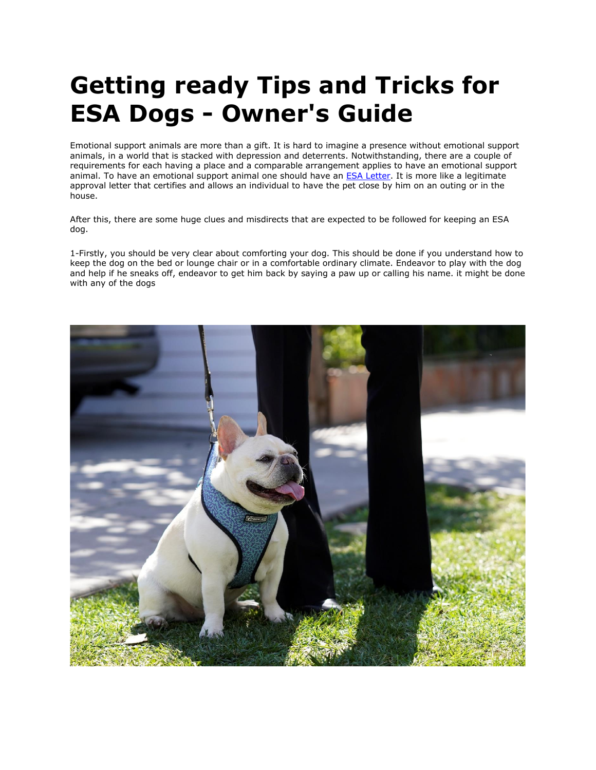## **Getting ready Tips and Tricks for ESA Dogs - Owner's Guide**

Emotional support animals are more than a gift. It is hard to imagine a presence without emotional support animals, in a world that is stacked with depression and deterrents. Notwithstanding, there are a couple of requirements for each having a place and a comparable arrangement applies to have an emotional support animal. To have an emotional support animal one should have an **ESA Letter**. It is more like a legitimate approval letter that certifies and allows an individual to have the pet close by him on an outing or in the house.

After this, there are some huge clues and misdirects that are expected to be followed for keeping an ESA dog.

1-Firstly, you should be very clear about comforting your dog. This should be done if you understand how to keep the dog on the bed or lounge chair or in a comfortable ordinary climate. Endeavor to play with the dog and help if he sneaks off, endeavor to get him back by saying a paw up or calling his name. it might be done with any of the dogs